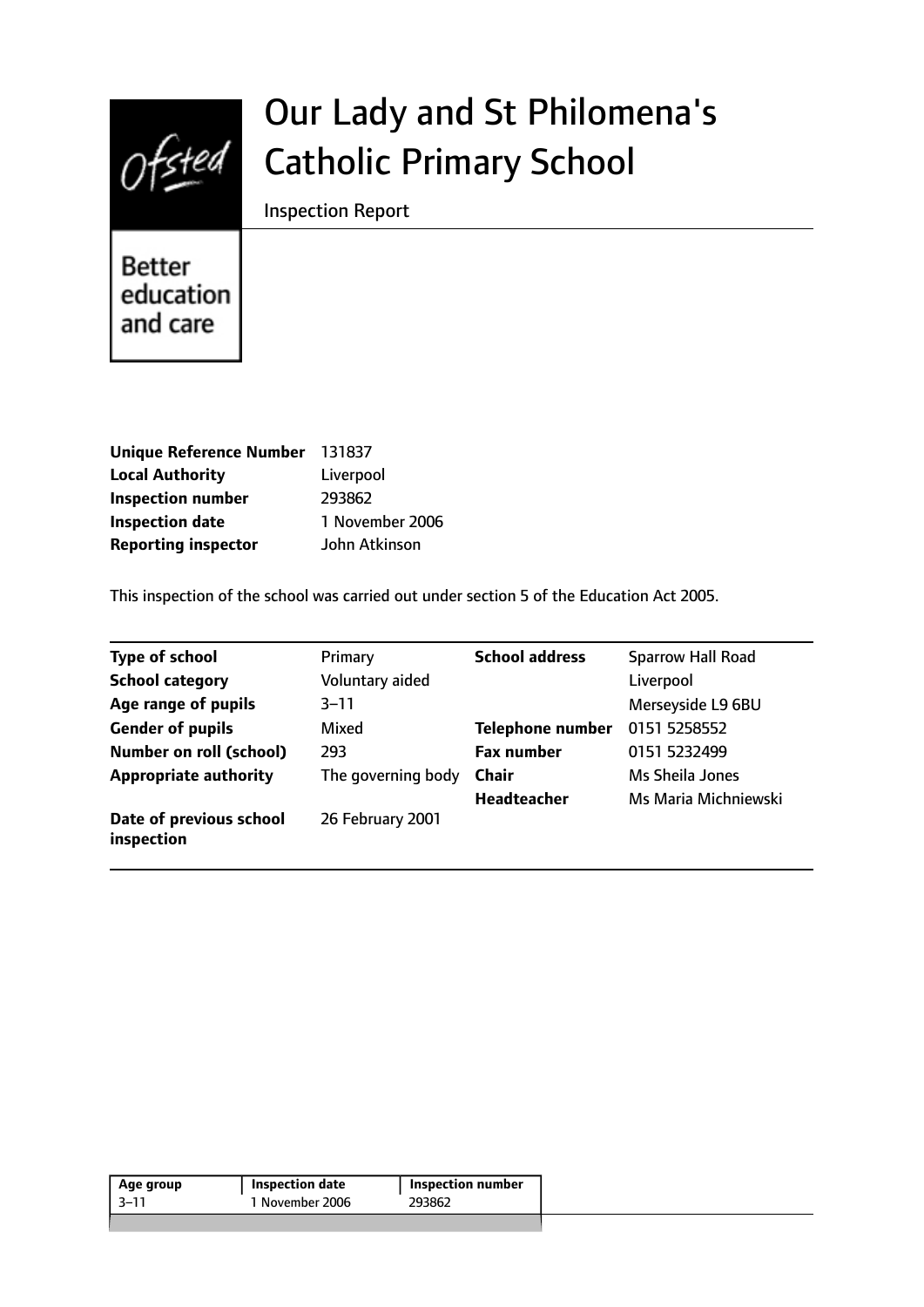

# Our Lady and St Philomena's Catholic Primary School

Inspection Report

**Better** education and care

| Unique Reference Number 131837 |                 |
|--------------------------------|-----------------|
| <b>Local Authority</b>         | Liverpool       |
| <b>Inspection number</b>       | 293862          |
| <b>Inspection date</b>         | 1 November 2006 |
| <b>Reporting inspector</b>     | John Atkinson   |

This inspection of the school was carried out under section 5 of the Education Act 2005.

| <b>Type of school</b>                 | Primary            | <b>School address</b>   | <b>Sparrow Hall Road</b> |
|---------------------------------------|--------------------|-------------------------|--------------------------|
| <b>School category</b>                | Voluntary aided    |                         | Liverpool                |
| Age range of pupils                   | $3 - 11$           |                         | Merseyside L9 6BU        |
| <b>Gender of pupils</b>               | Mixed              | <b>Telephone number</b> | 0151 5258552             |
| <b>Number on roll (school)</b>        | 293                | <b>Fax number</b>       | 0151 5232499             |
| <b>Appropriate authority</b>          | The governing body | Chair                   | Ms Sheila Jones          |
|                                       |                    | Headteacher             | Ms Maria Michniewski     |
| Date of previous school<br>inspection | 26 February 2001   |                         |                          |

| Age group | <b>Inspection date</b> | <b>Inspection number</b> |
|-----------|------------------------|--------------------------|
| -3–11     | 1 November 2006        | 293862                   |
|           |                        |                          |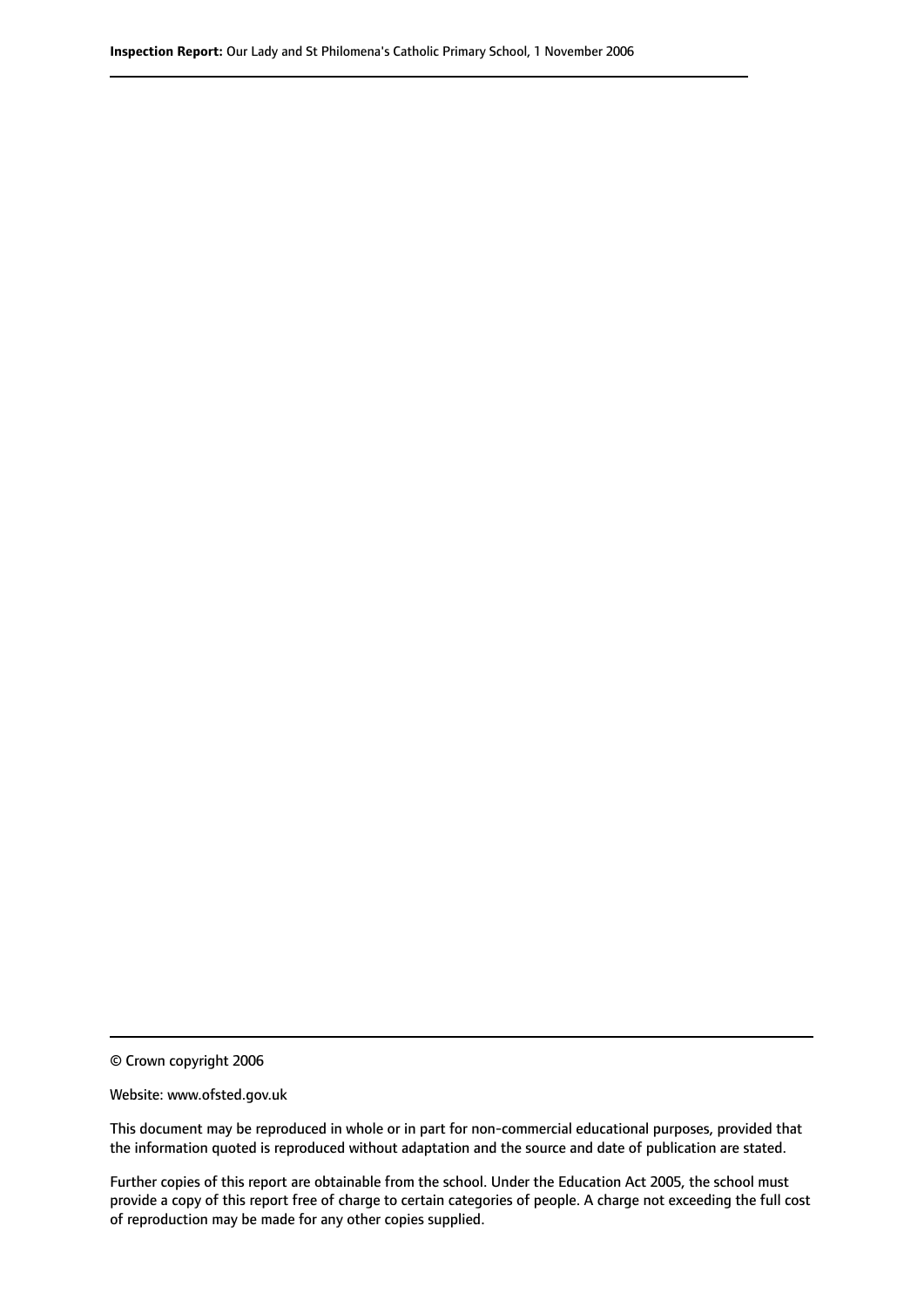© Crown copyright 2006

Website: www.ofsted.gov.uk

This document may be reproduced in whole or in part for non-commercial educational purposes, provided that the information quoted is reproduced without adaptation and the source and date of publication are stated.

Further copies of this report are obtainable from the school. Under the Education Act 2005, the school must provide a copy of this report free of charge to certain categories of people. A charge not exceeding the full cost of reproduction may be made for any other copies supplied.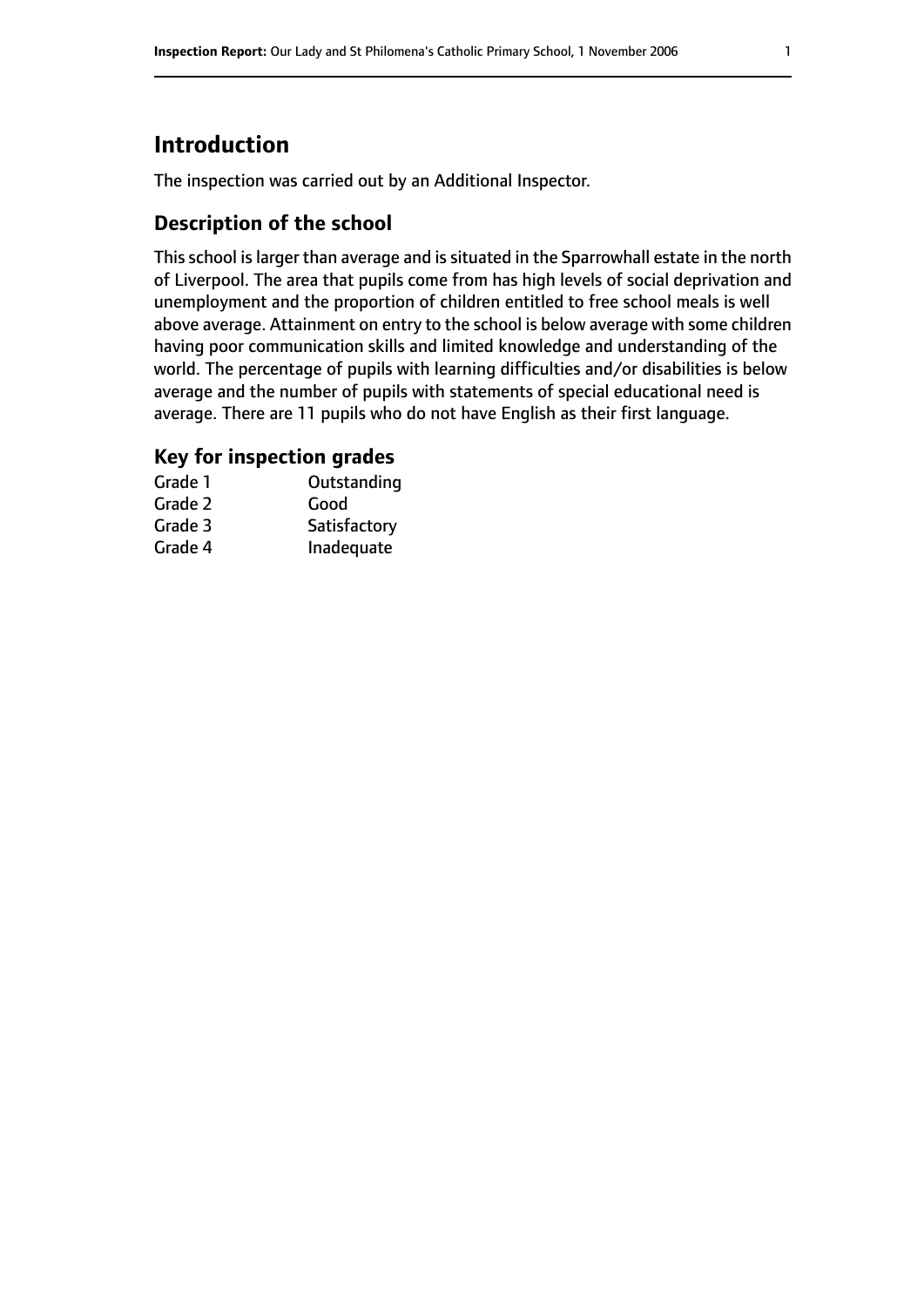# **Introduction**

The inspection was carried out by an Additional Inspector.

## **Description of the school**

This school is larger than average and is situated in the Sparrowhall estate in the north of Liverpool. The area that pupils come from has high levels of social deprivation and unemployment and the proportion of children entitled to free school meals is well above average. Attainment on entry to the school is below average with some children having poor communication skills and limited knowledge and understanding of the world. The percentage of pupils with learning difficulties and/or disabilities is below average and the number of pupils with statements of special educational need is average. There are 11 pupils who do not have English as their first language.

## **Key for inspection grades**

| Grade 1 | Outstanding  |
|---------|--------------|
| Grade 2 | Good         |
| Grade 3 | Satisfactory |
| Grade 4 | Inadequate   |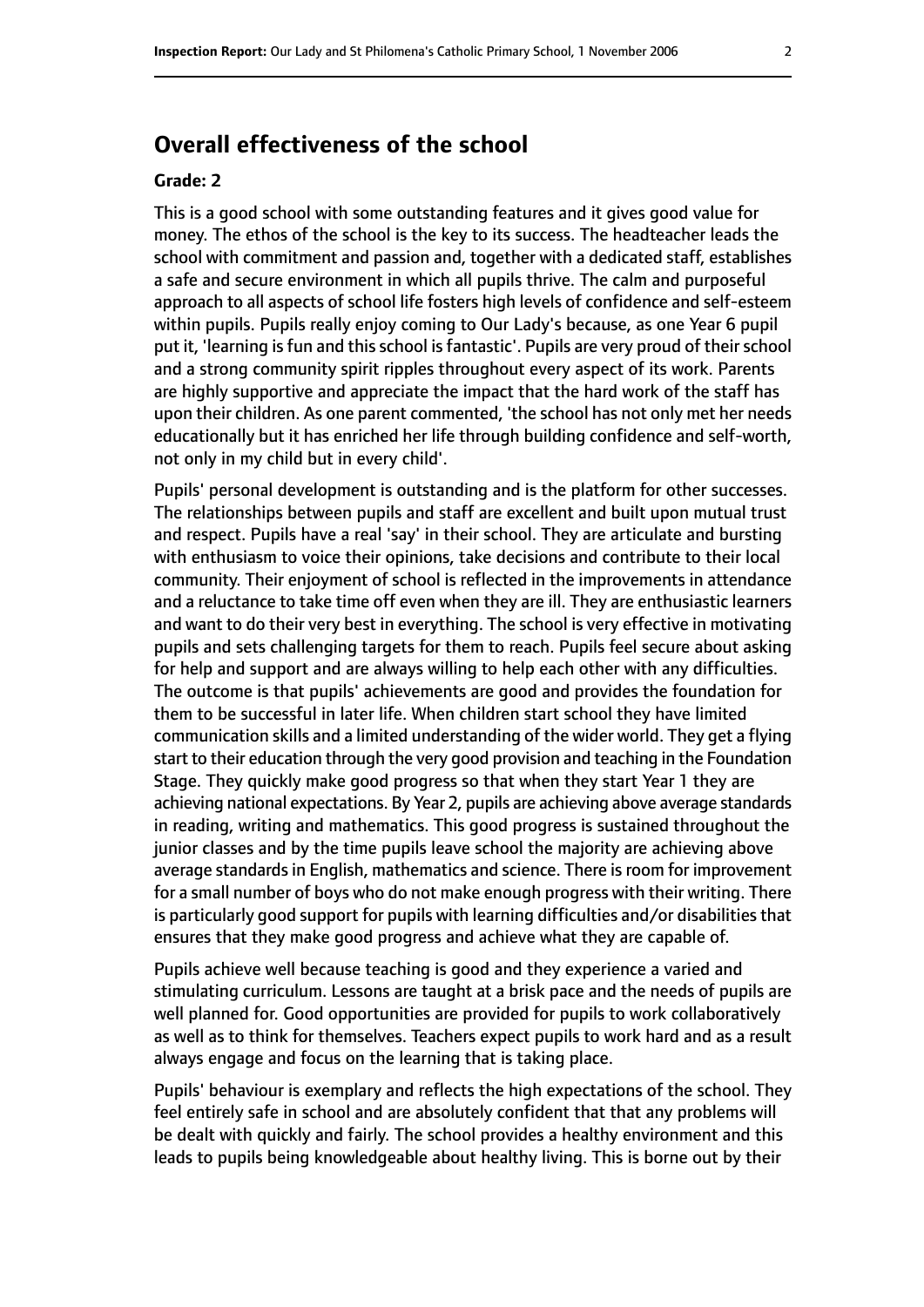# **Overall effectiveness of the school**

#### **Grade: 2**

This is a good school with some outstanding features and it gives good value for money. The ethos of the school is the key to its success. The headteacher leads the school with commitment and passion and, together with a dedicated staff, establishes a safe and secure environment in which all pupils thrive. The calm and purposeful approach to all aspects of school life fosters high levels of confidence and self-esteem within pupils. Pupils really enjoy coming to Our Lady's because, as one Year 6 pupil put it, 'learning is fun and this school is fantastic'. Pupils are very proud of their school and a strong community spirit ripples throughout every aspect of its work. Parents are highly supportive and appreciate the impact that the hard work of the staff has upon their children. As one parent commented, 'the school has not only met her needs educationally but it has enriched her life through building confidence and self-worth, not only in my child but in every child'.

Pupils' personal development is outstanding and is the platform for other successes. The relationships between pupils and staff are excellent and built upon mutual trust and respect. Pupils have a real 'say' in their school. They are articulate and bursting with enthusiasm to voice their opinions, take decisions and contribute to their local community. Their enjoyment of school is reflected in the improvements in attendance and a reluctance to take time off even when they are ill. They are enthusiastic learners and want to do their very best in everything. The school is very effective in motivating pupils and sets challenging targets for them to reach. Pupils feel secure about asking for help and support and are always willing to help each other with any difficulties. The outcome is that pupils' achievements are good and provides the foundation for them to be successful in later life. When children start school they have limited communication skills and a limited understanding of the wider world. They get a flying start to their education through the very good provision and teaching in the Foundation Stage. They quickly make good progress so that when they start Year 1 they are achieving national expectations. By Year 2, pupils are achieving above average standards in reading, writing and mathematics. This good progress is sustained throughout the junior classes and by the time pupils leave school the majority are achieving above average standards in English, mathematics and science. There is room for improvement for a small number of boys who do not make enough progress with their writing. There is particularly good support for pupils with learning difficulties and/or disabilities that ensures that they make good progress and achieve what they are capable of.

Pupils achieve well because teaching is good and they experience a varied and stimulating curriculum. Lessons are taught at a brisk pace and the needs of pupils are well planned for. Good opportunities are provided for pupils to work collaboratively as well as to think for themselves. Teachers expect pupils to work hard and as a result always engage and focus on the learning that is taking place.

Pupils' behaviour is exemplary and reflects the high expectations of the school. They feel entirely safe in school and are absolutely confident that that any problems will be dealt with quickly and fairly. The school provides a healthy environment and this leads to pupils being knowledgeable about healthy living. This is borne out by their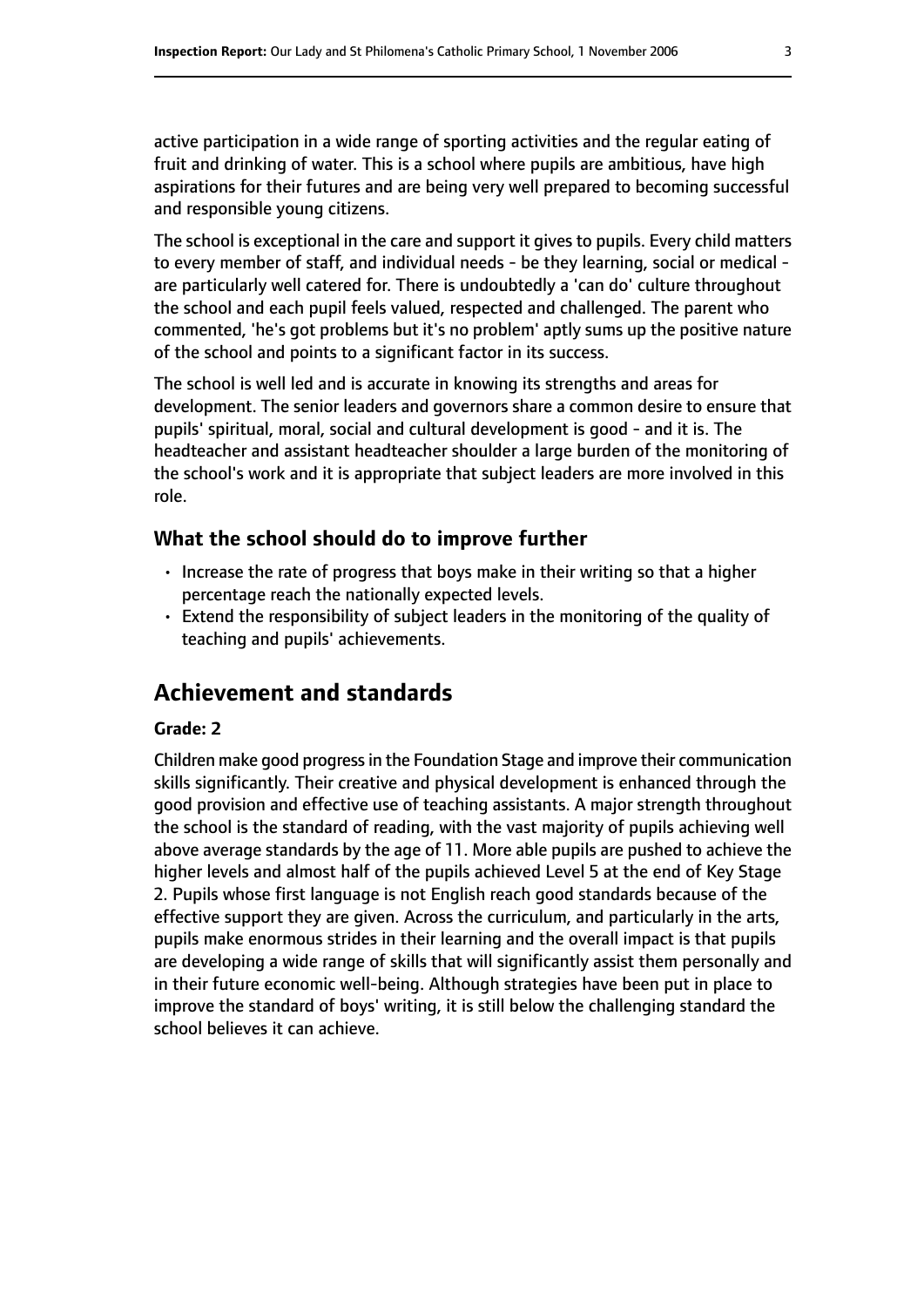active participation in a wide range of sporting activities and the regular eating of fruit and drinking of water. This is a school where pupils are ambitious, have high aspirations for their futures and are being very well prepared to becoming successful and responsible young citizens.

The school is exceptional in the care and support it gives to pupils. Every child matters to every member of staff, and individual needs - be they learning, social or medical are particularly well catered for. There is undoubtedly a 'can do' culture throughout the school and each pupil feels valued, respected and challenged. The parent who commented, 'he's got problems but it's no problem' aptly sums up the positive nature of the school and points to a significant factor in its success.

The school is well led and is accurate in knowing its strengths and areas for development. The senior leaders and governors share a common desire to ensure that pupils' spiritual, moral, social and cultural development is good - and it is. The headteacher and assistant headteacher shoulder a large burden of the monitoring of the school's work and it is appropriate that subject leaders are more involved in this role.

#### **What the school should do to improve further**

- Increase the rate of progress that boys make in their writing so that a higher percentage reach the nationally expected levels.
- Extend the responsibility of subject leaders in the monitoring of the quality of teaching and pupils' achievements.

# **Achievement and standards**

#### **Grade: 2**

Children make good progressin the Foundation Stage and improve their communication skills significantly. Their creative and physical development is enhanced through the good provision and effective use of teaching assistants. A major strength throughout the school is the standard of reading, with the vast majority of pupils achieving well above average standards by the age of 11. More able pupils are pushed to achieve the higher levels and almost half of the pupils achieved Level 5 at the end of Key Stage 2. Pupils whose first language is not English reach good standards because of the effective support they are given. Across the curriculum, and particularly in the arts, pupils make enormous strides in their learning and the overall impact is that pupils are developing a wide range of skills that will significantly assist them personally and in their future economic well-being. Although strategies have been put in place to improve the standard of boys' writing, it is still below the challenging standard the school believes it can achieve.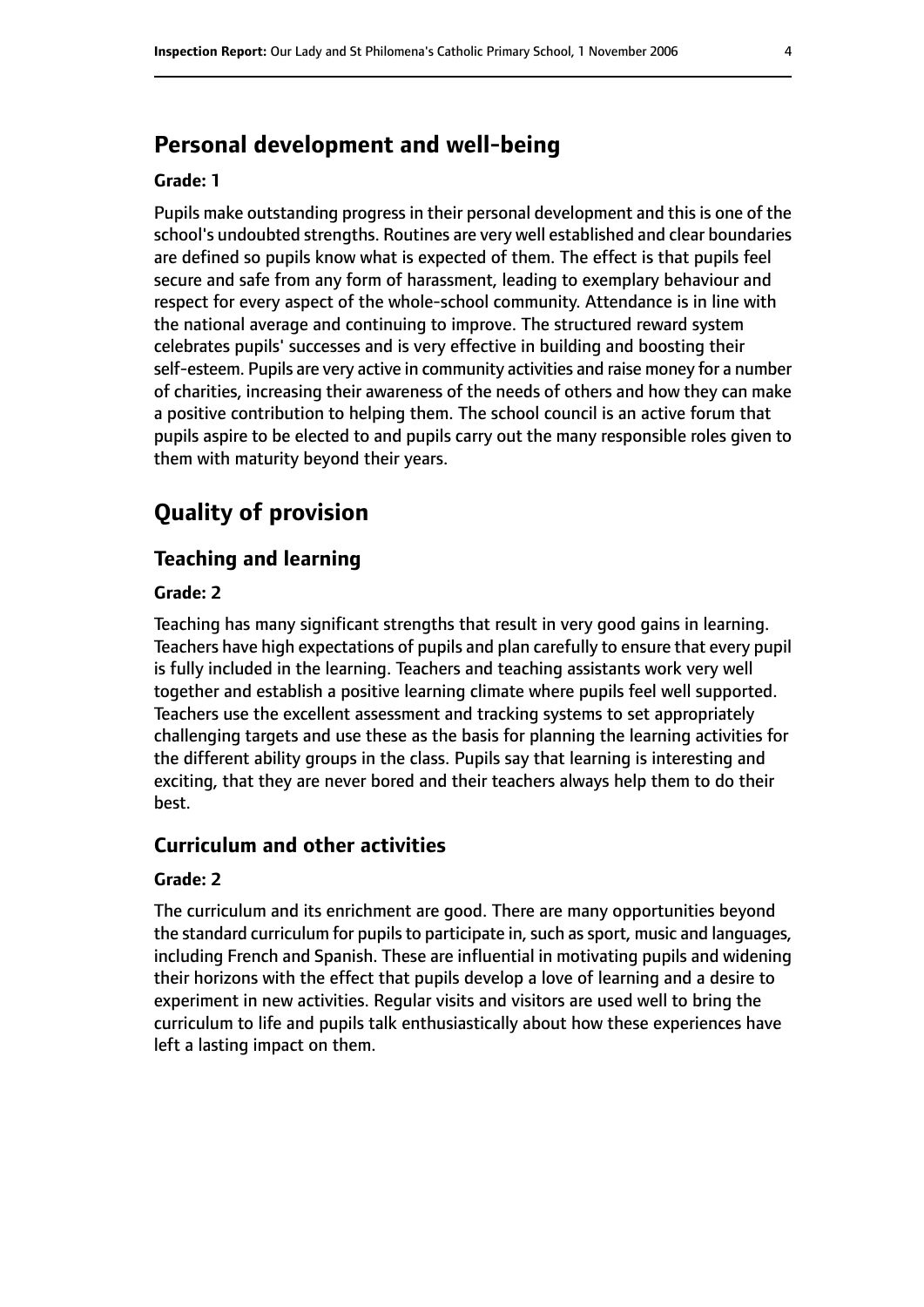# **Personal development and well-being**

#### **Grade: 1**

Pupils make outstanding progress in their personal development and this is one of the school's undoubted strengths. Routines are very well established and clear boundaries are defined so pupils know what is expected of them. The effect is that pupils feel secure and safe from any form of harassment, leading to exemplary behaviour and respect for every aspect of the whole-school community. Attendance is in line with the national average and continuing to improve. The structured reward system celebrates pupils' successes and is very effective in building and boosting their self-esteem. Pupils are very active in community activities and raise money for a number of charities, increasing their awareness of the needs of others and how they can make a positive contribution to helping them. The school council is an active forum that pupils aspire to be elected to and pupils carry out the many responsible roles given to them with maturity beyond their years.

# **Quality of provision**

## **Teaching and learning**

#### **Grade: 2**

Teaching has many significant strengths that result in very good gains in learning. Teachers have high expectations of pupils and plan carefully to ensure that every pupil is fully included in the learning. Teachers and teaching assistants work very well together and establish a positive learning climate where pupils feel well supported. Teachers use the excellent assessment and tracking systems to set appropriately challenging targets and use these as the basis for planning the learning activities for the different ability groups in the class. Pupils say that learning is interesting and exciting, that they are never bored and their teachers always help them to do their best.

#### **Curriculum and other activities**

#### **Grade: 2**

The curriculum and its enrichment are good. There are many opportunities beyond the standard curriculum for pupils to participate in, such as sport, music and languages, including French and Spanish. These are influential in motivating pupils and widening their horizons with the effect that pupils develop a love of learning and a desire to experiment in new activities. Regular visits and visitors are used well to bring the curriculum to life and pupils talk enthusiastically about how these experiences have left a lasting impact on them.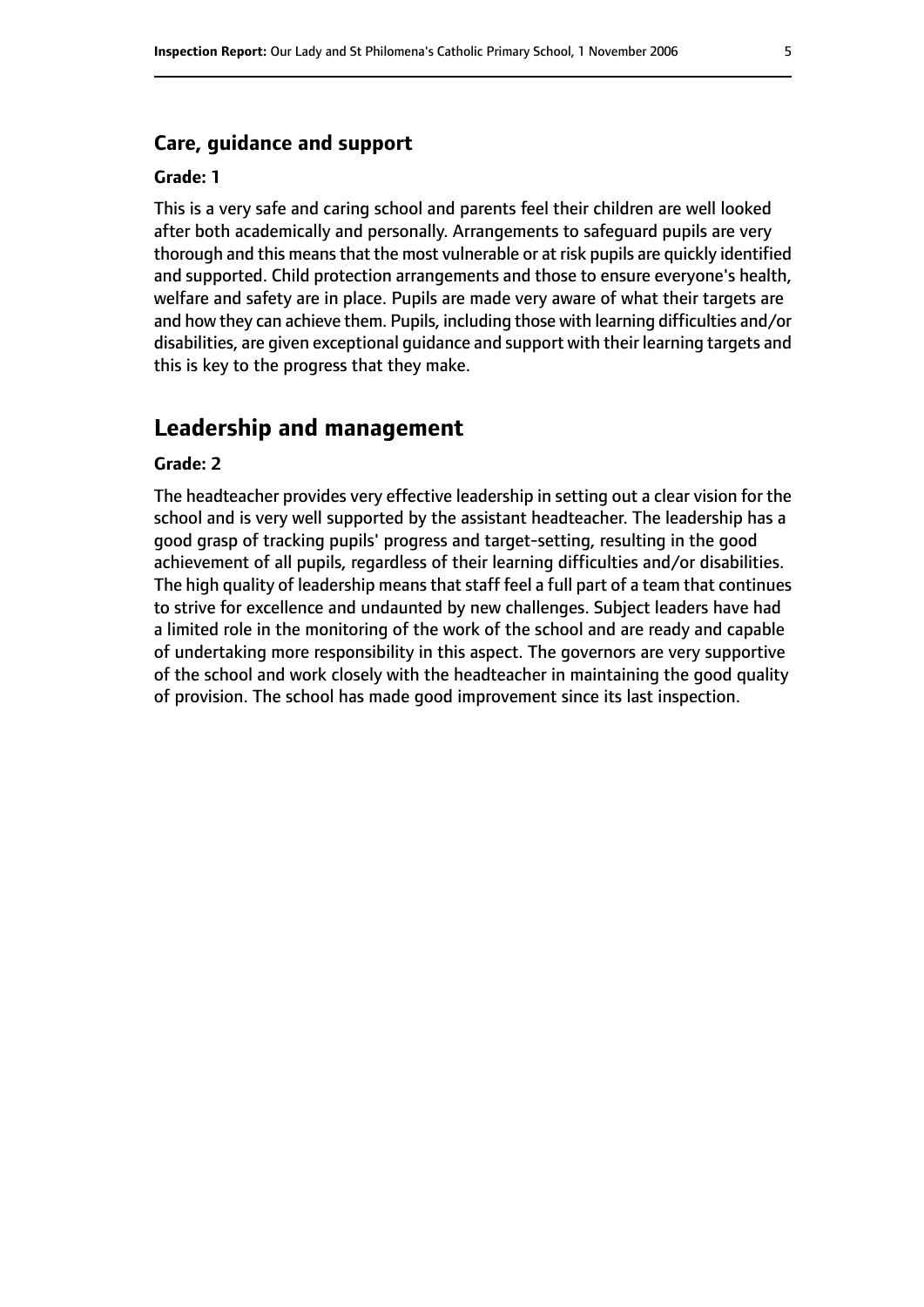#### **Care, guidance and support**

#### **Grade: 1**

This is a very safe and caring school and parents feel their children are well looked after both academically and personally. Arrangements to safeguard pupils are very thorough and this means that the most vulnerable or at risk pupils are quickly identified and supported. Child protection arrangements and those to ensure everyone's health, welfare and safety are in place. Pupils are made very aware of what their targets are and how they can achieve them. Pupils, including those with learning difficulties and/or disabilities, are given exceptional guidance and support with their learning targets and this is key to the progress that they make.

#### **Leadership and management**

#### **Grade: 2**

The headteacher provides very effective leadership in setting out a clear vision for the school and is very well supported by the assistant headteacher. The leadership has a good grasp of tracking pupils' progress and target-setting, resulting in the good achievement of all pupils, regardless of their learning difficulties and/or disabilities. The high quality of leadership means that staff feel a full part of a team that continues to strive for excellence and undaunted by new challenges. Subject leaders have had a limited role in the monitoring of the work of the school and are ready and capable of undertaking more responsibility in this aspect. The governors are very supportive of the school and work closely with the headteacher in maintaining the good quality of provision. The school has made good improvement since its last inspection.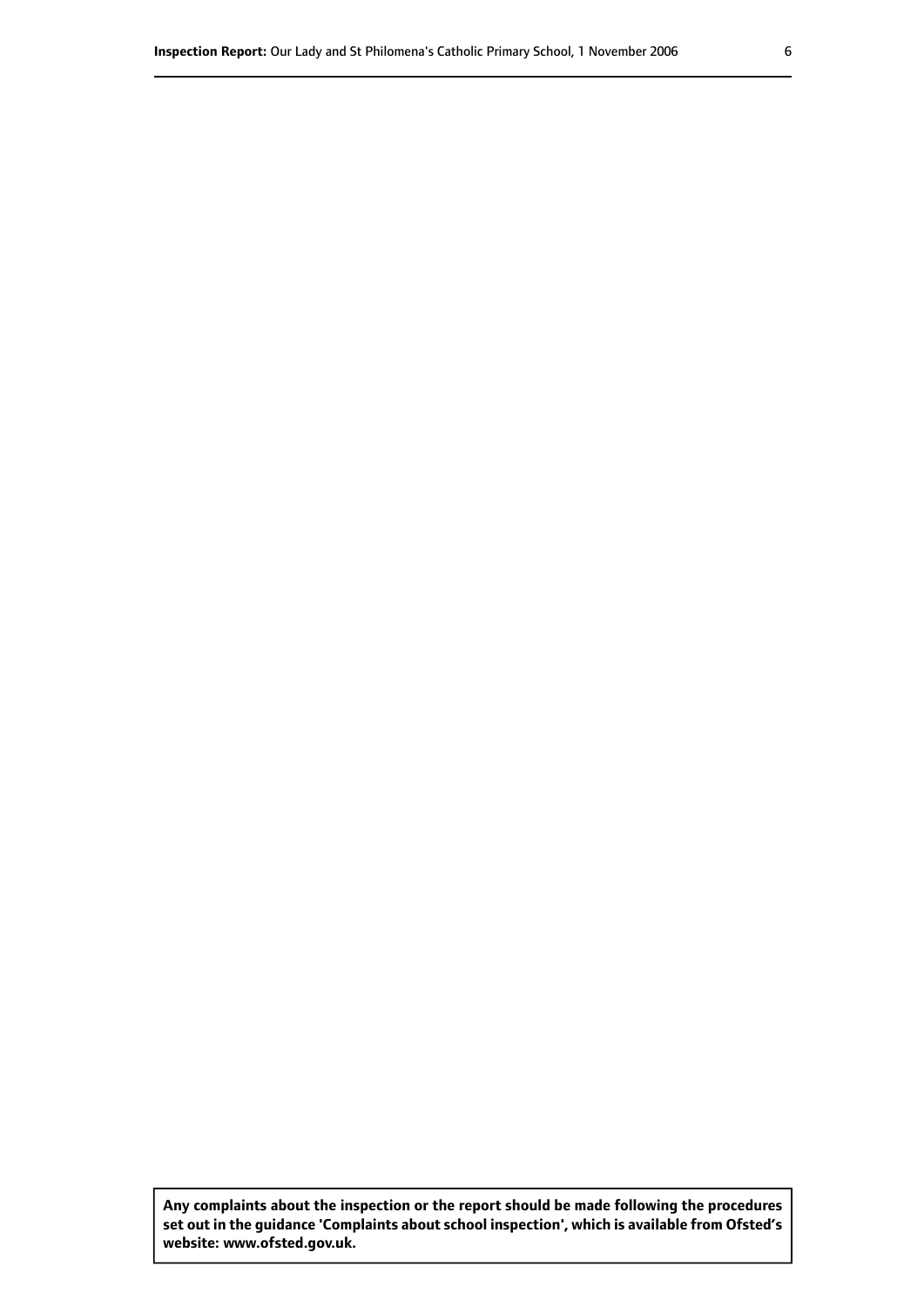**Any complaints about the inspection or the report should be made following the procedures set out inthe guidance 'Complaints about school inspection', whichis available from Ofsted's website: www.ofsted.gov.uk.**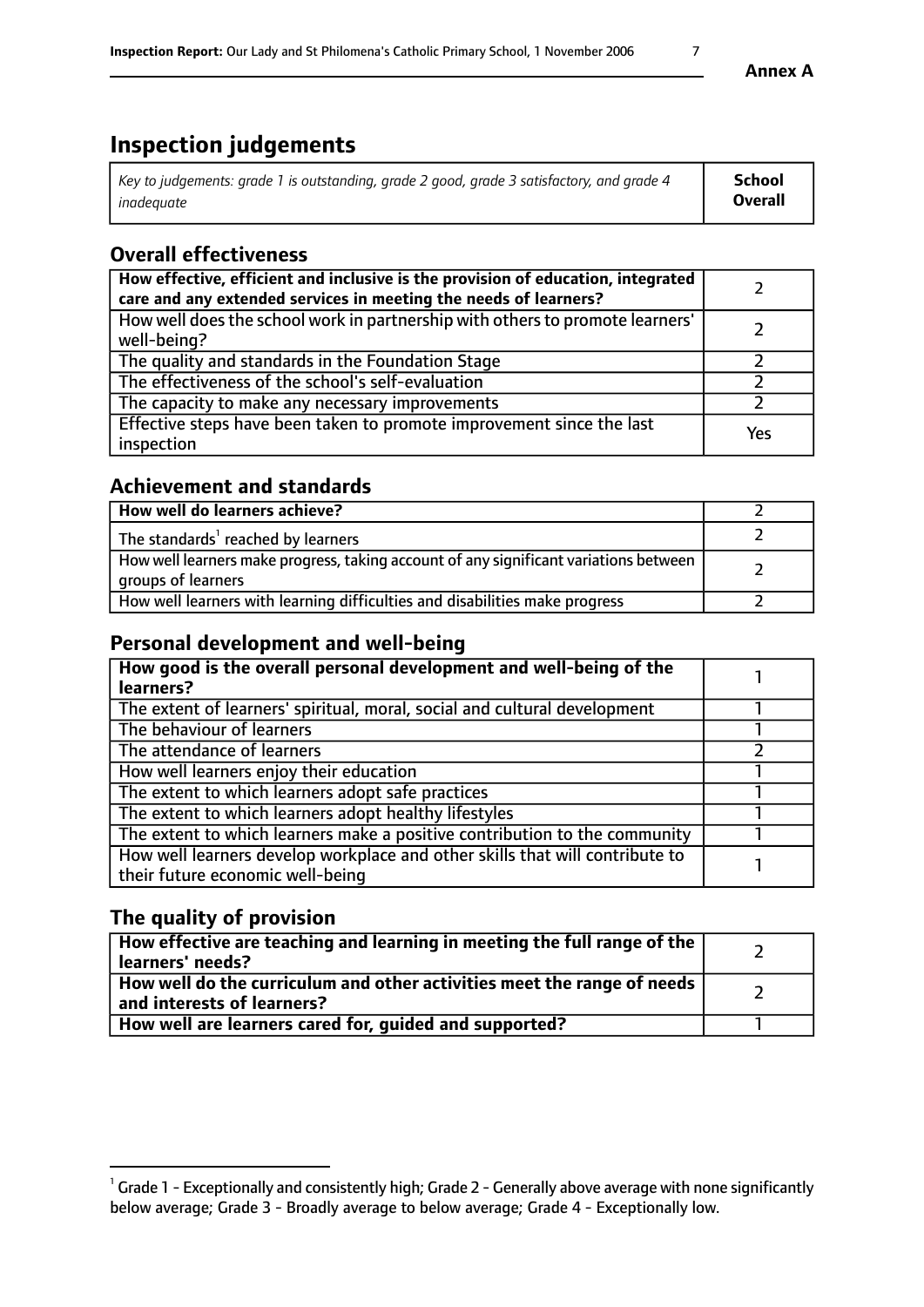# **Inspection judgements**

| Key to judgements: grade 1 is outstanding, grade 2 good, grade 3 satisfactory, and grade 4 | <b>School</b>  |
|--------------------------------------------------------------------------------------------|----------------|
| inadeauate                                                                                 | <b>Overall</b> |

## **Overall effectiveness**

| How effective, efficient and inclusive is the provision of education, integrated<br>care and any extended services in meeting the needs of learners? |     |
|------------------------------------------------------------------------------------------------------------------------------------------------------|-----|
| How well does the school work in partnership with others to promote learners'<br>well-being?                                                         |     |
| The quality and standards in the Foundation Stage                                                                                                    |     |
| The effectiveness of the school's self-evaluation                                                                                                    |     |
| The capacity to make any necessary improvements                                                                                                      |     |
| Effective steps have been taken to promote improvement since the last<br>inspection                                                                  | Yes |

## **Achievement and standards**

| How well do learners achieve?                                                                                            |  |
|--------------------------------------------------------------------------------------------------------------------------|--|
| The standards <sup>1</sup> reached by learners                                                                           |  |
| How well learners make progress, taking account of any significant variations between<br><sup>I</sup> groups of learners |  |
| How well learners with learning difficulties and disabilities make progress                                              |  |

## **Personal development and well-being**

| How good is the overall personal development and well-being of the<br>learners?                                  |  |
|------------------------------------------------------------------------------------------------------------------|--|
| The extent of learners' spiritual, moral, social and cultural development                                        |  |
| The behaviour of learners                                                                                        |  |
| The attendance of learners                                                                                       |  |
| How well learners enjoy their education                                                                          |  |
| The extent to which learners adopt safe practices                                                                |  |
| The extent to which learners adopt healthy lifestyles                                                            |  |
| The extent to which learners make a positive contribution to the community                                       |  |
| How well learners develop workplace and other skills that will contribute to<br>their future economic well-being |  |

## **The quality of provision**

| How effective are teaching and learning in meeting the full range of the<br>  learners' needs?                      |  |
|---------------------------------------------------------------------------------------------------------------------|--|
| $\mid$ How well do the curriculum and other activities meet the range of needs<br>$\mid$ and interests of learners? |  |
| How well are learners cared for, guided and supported?                                                              |  |

 $^1$  Grade 1 - Exceptionally and consistently high; Grade 2 - Generally above average with none significantly below average; Grade 3 - Broadly average to below average; Grade 4 - Exceptionally low.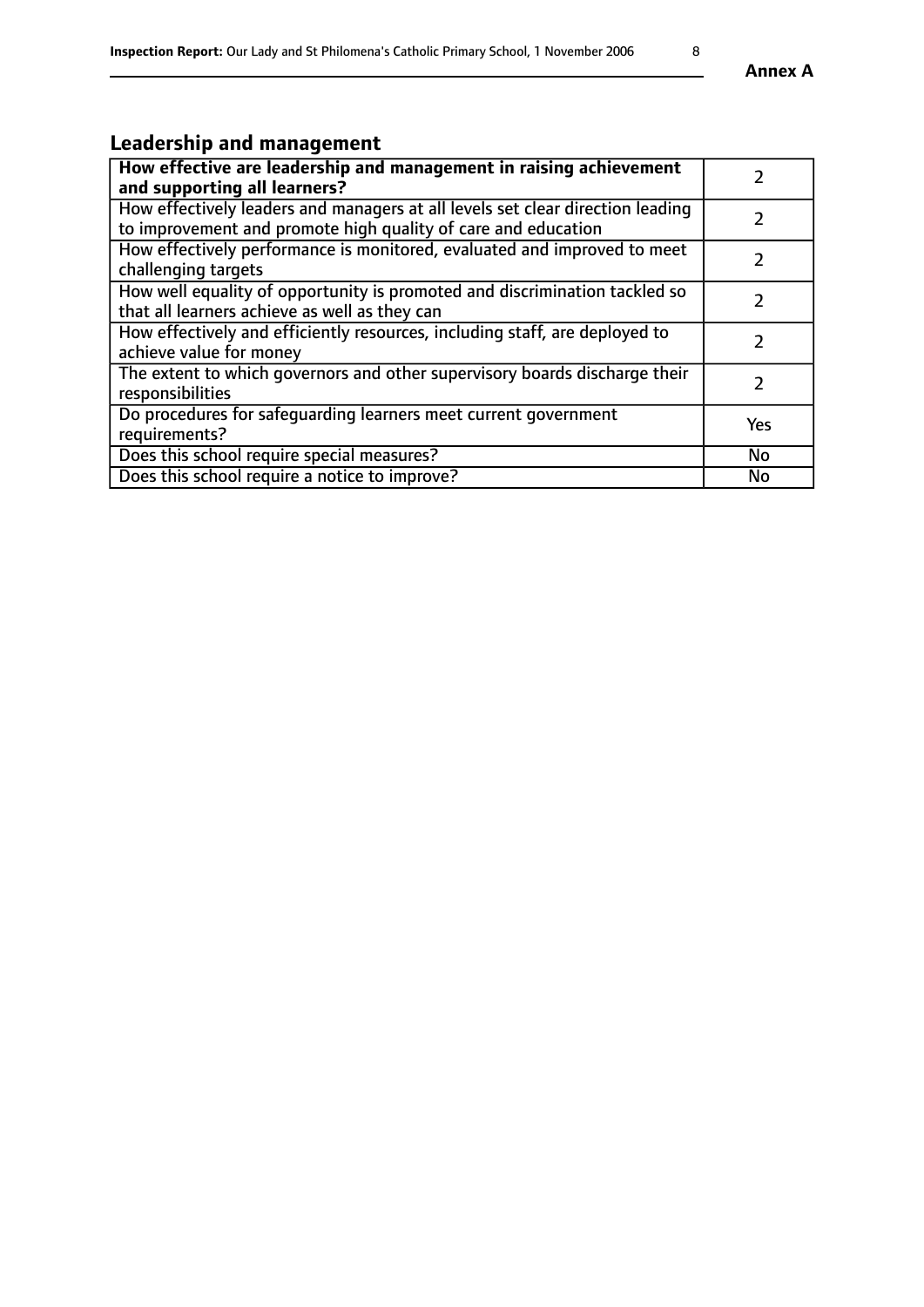# **Leadership and management**

| How effective are leadership and management in raising achievement<br>and supporting all learners?                                              |               |
|-------------------------------------------------------------------------------------------------------------------------------------------------|---------------|
| How effectively leaders and managers at all levels set clear direction leading<br>to improvement and promote high quality of care and education |               |
| How effectively performance is monitored, evaluated and improved to meet<br>challenging targets                                                 |               |
| How well equality of opportunity is promoted and discrimination tackled so<br>that all learners achieve as well as they can                     |               |
| How effectively and efficiently resources, including staff, are deployed to<br>achieve value for money                                          | $\mathcal{L}$ |
| The extent to which governors and other supervisory boards discharge their<br>responsibilities                                                  |               |
| Do procedures for safeguarding learners meet current government<br>requirements?                                                                | Yes           |
| Does this school require special measures?                                                                                                      | <b>No</b>     |
| Does this school require a notice to improve?                                                                                                   | <b>No</b>     |